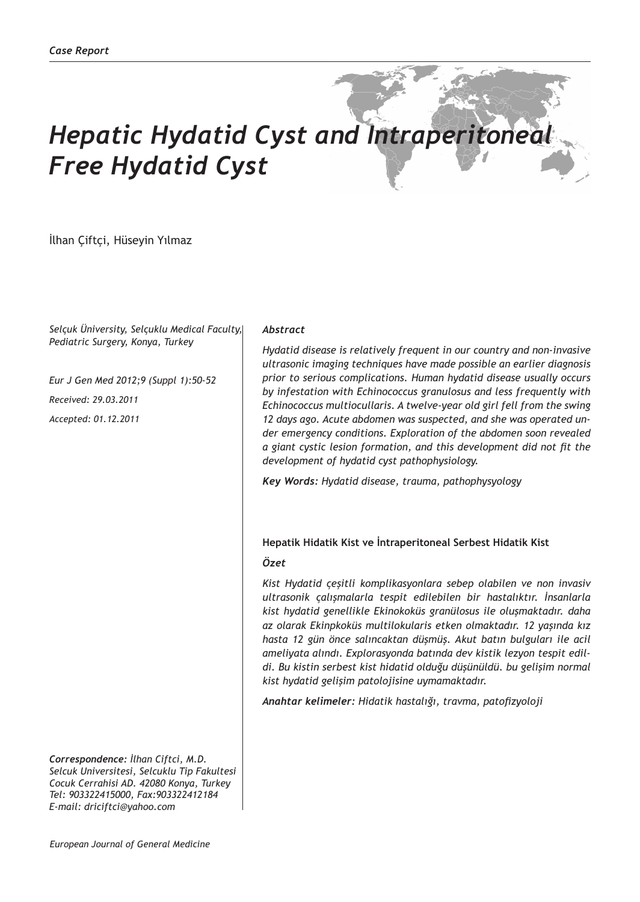# *Hepatic Hydatid Cyst and Intraperitoneal Free Hydatid Cyst*

İlhan Çiftçi, Hüseyin Yılmaz

*Selçuk Üniversity, Selçuklu Medical Faculty, Pediatric Surgery, Konya, Turkey*

*Eur J Gen Med 2012;9 (Suppl 1):50-52 Received: 29.03.2011 Accepted: 01.12.2011*

*Correspondence: İlhan Ciftci, M.D. Selcuk Universitesi, Selcuklu Tip Fakultesi Cocuk Cerrahisi AD. 42080 Konya, Turkey Tel: 903322415000, Fax:903322412184 E-mail: driciftci@yahoo.com*

#### *Abstract*

*Hydatid disease is relatively frequent in our country and non-invasive ultrasonic imaging techniques have made possible an earlier diagnosis prior to serious complications. Human hydatid disease usually occurs by infestation with Echinococcus granulosus and less frequently with Echinococcus multiocullaris. A twelve-year old girl fell from the swing 12 days ago. Acute abdomen was suspected, and she was operated under emergency conditions. Exploration of the abdomen soon revealed a giant cystic lesion formation, and this development did not fit the development of hydatid cyst pathophysiology.* 

*Key Words: Hydatid disease, trauma, pathophysyology*

#### **Hepatik Hidatik Kist ve İntraperitoneal Serbest Hidatik Kist**

### *Özet*

*Kist Hydatid çeşitli komplikasyonlara sebep olabilen ve non invasiv ultrasonik çalışmalarla tespit edilebilen bir hastalıktır. İnsanlarla kist hydatid genellikle Ekinokoküs granülosus ile oluşmaktadır. daha az olarak Ekinpkoküs multilokularis etken olmaktadır. 12 yaşında kız hasta 12 gün önce salıncaktan düşmüş. Akut batın bulguları ile acil ameliyata alındı. Explorasyonda batında dev kistik lezyon tespit edildi. Bu kistin serbest kist hidatid olduğu düşünüldü. bu gelişim normal kist hydatid gelişim patolojisine uymamaktadır.*

*Anahtar kelimeler: Hidatik hastalığı, travma, patofizyoloji*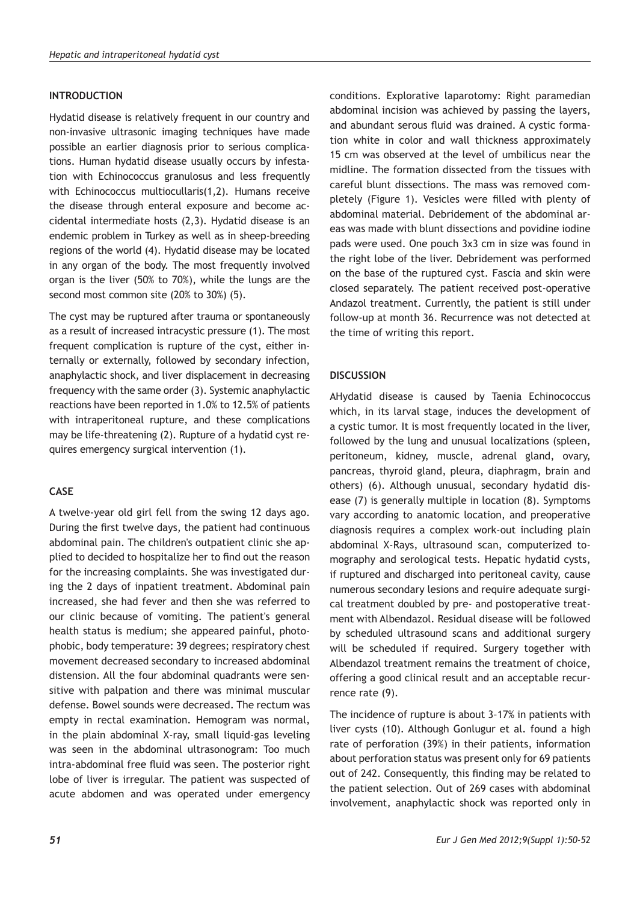## **INTRODUCTION**

Hydatid disease is relatively frequent in our country and non-invasive ultrasonic imaging techniques have made possible an earlier diagnosis prior to serious complications. Human hydatid disease usually occurs by infestation with Echinococcus granulosus and less frequently with Echinococcus multiocullaris(1,2). Humans receive the disease through enteral exposure and become accidental intermediate hosts (2,3). Hydatid disease is an endemic problem in Turkey as well as in sheep-breeding regions of the world (4). Hydatid disease may be located in any organ of the body. The most frequently involved organ is the liver (50% to 70%), while the lungs are the second most common site (20% to 30%) (5).

The cyst may be ruptured after trauma or spontaneously as a result of increased intracystic pressure (1). The most frequent complication is rupture of the cyst, either internally or externally, followed by secondary infection, anaphylactic shock, and liver displacement in decreasing frequency with the same order (3). Systemic anaphylactic reactions have been reported in 1.0% to 12.5% of patients with intraperitoneal rupture, and these complications may be life-threatening (2). Rupture of a hydatid cyst requires emergency surgical intervention (1).

# **CASE**

A twelve-year old girl fell from the swing 12 days ago. During the first twelve days, the patient had continuous abdominal pain. The children's outpatient clinic she applied to decided to hospitalize her to find out the reason for the increasing complaints. She was investigated during the 2 days of inpatient treatment. Abdominal pain increased, she had fever and then she was referred to our clinic because of vomiting. The patient's general health status is medium; she appeared painful, photophobic, body temperature: 39 degrees; respiratory chest movement decreased secondary to increased abdominal distension. All the four abdominal quadrants were sensitive with palpation and there was minimal muscular defense. Bowel sounds were decreased. The rectum was empty in rectal examination. Hemogram was normal, in the plain abdominal X-ray, small liquid-gas leveling was seen in the abdominal ultrasonogram: Too much intra-abdominal free fluid was seen. The posterior right lobe of liver is irregular. The patient was suspected of acute abdomen and was operated under emergency

conditions. Explorative laparotomy: Right paramedian abdominal incision was achieved by passing the layers, and abundant serous fluid was drained. A cystic formation white in color and wall thickness approximately 15 cm was observed at the level of umbilicus near the midline. The formation dissected from the tissues with careful blunt dissections. The mass was removed completely (Figure 1). Vesicles were filled with plenty of abdominal material. Debridement of the abdominal areas was made with blunt dissections and povidine iodine pads were used. One pouch 3x3 cm in size was found in the right lobe of the liver. Debridement was performed on the base of the ruptured cyst. Fascia and skin were closed separately. The patient received post-operative Andazol treatment. Currently, the patient is still under follow-up at month 36. Recurrence was not detected at the time of writing this report.

## **DISCUSSION**

AHydatid disease is caused by Taenia Echinococcus which, in its larval stage, induces the development of a cystic tumor. It is most frequently located in the liver, followed by the lung and unusual localizations (spleen, peritoneum, kidney, muscle, adrenal gland, ovary, pancreas, thyroid gland, pleura, diaphragm, brain and others) (6). Although unusual, secondary hydatid disease (7) is generally multiple in location (8). Symptoms vary according to anatomic location, and preoperative diagnosis requires a complex work-out including plain abdominal X-Rays, ultrasound scan, computerized tomography and serological tests. Hepatic hydatid cysts, if ruptured and discharged into peritoneal cavity, cause numerous secondary lesions and require adequate surgical treatment doubled by pre- and postoperative treatment with Albendazol. Residual disease will be followed by scheduled ultrasound scans and additional surgery will be scheduled if required. Surgery together with Albendazol treatment remains the treatment of choice, offering a good clinical result and an acceptable recurrence rate (9).

The incidence of rupture is about 3–17% in patients with liver cysts (10). Although Gonlugur et al. found a high rate of perforation (39%) in their patients, information about perforation status was present only for 69 patients out of 242. Consequently, this finding may be related to the patient selection. Out of 269 cases with abdominal involvement, anaphylactic shock was reported only in